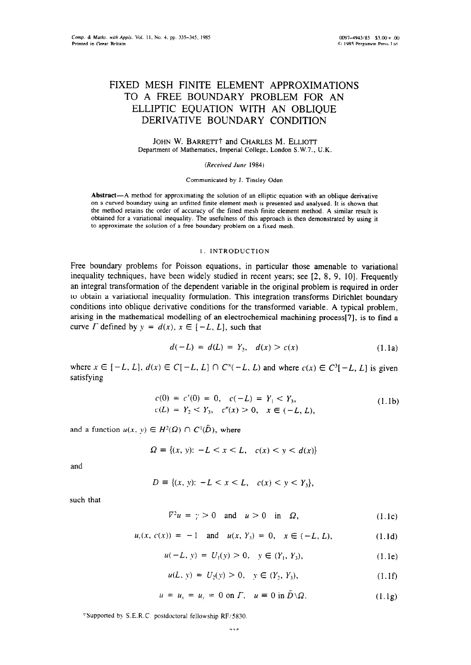# FIXED MESH FINITE ELEMENT APPROXIMATIONS TO A FREE BOUNDARY PROBLEM FOR AN ELLIPTIC EQUATION WITH AN OBLIQUE DERIVATIVE BOUNDARY CONDITION

JOHN W. BARRETT<sup>†</sup> and CHARLES M. ELLIOTT Department of Mathematics, Imperial College. London S.W.7.. U.K

*(Received June 1984)* 

Communicated by J. Tinsley Oden

Abstract-A method for approximating the solution of an elliptic equation with an oblique derivative on a curved boundary using an unfitted finite element mesh is presented and analysed. It is shown that the method retains the order of accuracy of the fitted mesh finite element method. A similar result is obtained for a variational inequality. The usefulness of this approach is then demonstrated by using it to approximate the solution of a free boundary problem on a fixed mesh.

### I. INTRODUCTION

Free boundary problems for Poisson equations, in particular those amenable to variational inequality techniques, have been widely studied in recent years; see [2, 8, 9, 10]. Frequently an integral transformation of the dependent variable in the original problem is required in order to obtain a variational inequality formulation. This integration transforms Dirichlet boundary conditions into oblique derivative conditions for the transformed variable. A typical problem, arising in the mathematical modelling of an electrochemical machining process[7], is to find a curve  $\Gamma$  defined by  $y = d(x), x \in [-L, L]$ , such that

$$
d(-L) = d(L) = Y_3, \quad d(x) > c(x) \tag{1.1a}
$$

where  $x \in [-L, L], d(x) \in C[-L, L] \cap C^{x}(-L, L)$  and where  $c(x) \in C^{3}[-L, L]$  is given satisfying

$$
c(0) = c'(0) = 0, \quad c(-L) = Y_1 < Y_3, \nc(L) = Y_2 < Y_3, \quad c''(x) > 0, \quad x \in (-L, L),
$$
\n
$$
(1.1b)
$$

and a function  $u(x, y) \in H^2(\Omega) \cap C^1(\overline{D})$ , where

$$
\Omega = \{(x, y): -L < x < L, \quad c(x) < y < d(x)\}
$$

and

$$
D = \{(x, y): -L < x < L, \quad c(x) < y < Y_3\},
$$

such that

$$
\nabla^2 u = \gamma > 0 \quad \text{and} \quad u > 0 \quad \text{in} \quad \Omega, \tag{1.1c}
$$

$$
u_y(x, c(x)) = -1
$$
 and  $u(x, Y_3) = 0$ ,  $x \in (-L, L)$ , (1.1d)

$$
u(-L, y) = U_1(y) > 0, \quad y \in (Y_1, Y_3), \tag{1.1e}
$$

$$
u(L, y) = U_2(y) > 0, \quad y \in (Y_2, Y_3), \tag{1.1f}
$$

$$
u = u_x = u_y = 0 \text{ on } \Gamma, \quad u \equiv 0 \text{ in } \bar{D} \setminus \Omega. \tag{1.1g}
$$

+Supponed b> S.E.R.C postdoctoral fellowship RF:5830.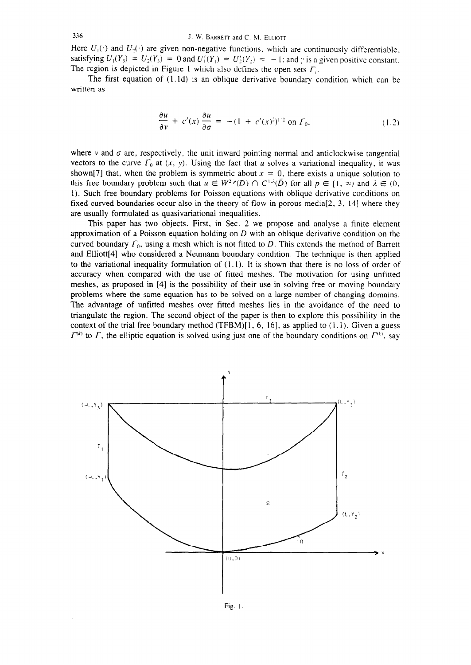Here  $U_1(\cdot)$  and  $U_2(\cdot)$  are given non-negative functions, which are continuously differentiable. satisfying  $U_1(Y_3) = U_2(Y_3) = 0$  and  $U'_1(Y_1) = U'_2(Y_2) = -1$ ; and y is a given positive constant. The region is depicted in Figure 1 which also defines the open sets  $\Gamma_i$ .

The first equation of  $(1.1d)$  is an oblique derivative boundary condition which can be written as

$$
\frac{\partial u}{\partial v} + c'(x) \frac{\partial u}{\partial \sigma} = -(1 + c'(x)^2)^{1/2} \text{ on } \Gamma_0,
$$
 (1.2)

where v and  $\sigma$  are, respectively, the unit inward pointing normal and anticlockwise tangential vectors to the curve  $\Gamma_0$  at  $(x, y)$ . Using the fact that u solves a variational inequality, it was shown[7] that, when the problem is symmetric about  $x = 0$ , there exists a unique solution to this free boundary problem such that  $u \in W^{2,p}(D) \cap C^{1,\lambda}(\overline{D})$  for all  $p \in [1, \infty)$  and  $\lambda \in (0, \lambda)$ . 1). Such free boundary problems for Poisson equations with oblique derivative conditions on fixed curved boundaries occur also in the theory of flow in porous media $[2, 3, 14]$  where they are usually formulated as quasivariational inequalities.

This paper has two objects. First, in Sec. 2 we propose and analyse a finite element approximation of a Poisson equation holding on  $D$  with an oblique derivative condition on the curved boundary  $\Gamma_0$ , using a mesh which is not fitted to  $D$ . This extends the method of Barrett and Elliott[4] who considered a Neumann boundary condition. The technique is then applied to the variational inequality formulation of  $(1.1)$ . It is shown that there is no loss of order of accuracy when compared with the use of fitted meshes. The motivation for using unfitted meshes, as proposed in [4] is the possibility of their use in solving free or moving boundary problems where the same equation has to be solved on a large number of changing domains. The advantage of unfitted meshes over fitted meshes lies in the avoidance of the need to triangulate the region. The second object of the paper is then to explore this possibility in the context of the trial free boundary method (TFBM) $[1, 6, 16]$ , as applied to  $(1.1)$ . Given a guess  $\Gamma^{(k)}$  to  $\Gamma$ , the elliptic equation is solved using just one of the boundary conditions on  $\Gamma^{(k)}$ , say

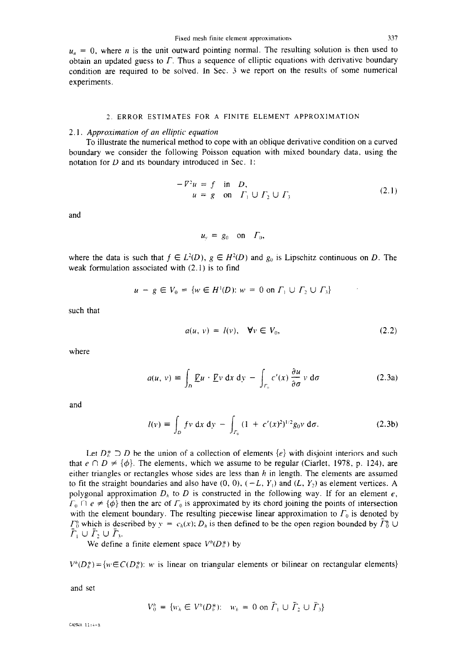$u_n = 0$ , where *n* is the unit outward pointing normal. The resulting solution is then used to obtain an updated guess to  $\Gamma$ . Thus a sequence of elliptic equations with derivative boundary condition are required to be solved. In Sec. 3 we report on the results of some numerical experiments.

#### 2. ERROR ESTIMATES FOR A FINITE ELEMENT APPROXIMATION

#### 2.1. *Appro.ximation of an elliptic equation*

To illustrate the numerical method to cope with an oblique derivative condition on a curved boundary we consider the following Poisson equation with mixed boundary data, using the notation for *D* and its boundary introduced in Sec. 1:

$$
-\nabla^2 u = f \quad \text{in} \quad D,
$$
  
\n
$$
u = g \quad \text{on} \quad \Gamma_1 \cup \Gamma_2 \cup \Gamma_3 \tag{2.1}
$$

and

$$
u_{v} = g_0 \quad \text{on} \quad \Gamma_0,
$$

where the data is such that  $f \in L^2(D)$ ,  $g \in H^2(D)$  and  $g_0$  is Lipschitz continuous on *D*. The weak formulation associated with (2.1) is to find

$$
u - g \in V_0 = \{ w \in H^1(D) : w = 0 \text{ on } \Gamma_1 \cup \Gamma_2 \cup \Gamma_3 \}
$$

such that

$$
a(u, v) = l(v), \quad \forall v \in V_0,
$$
\n
$$
(2.2)
$$

where

$$
a(u, v) \equiv \int_{D} \underline{F}u \cdot \underline{F}v \, dx \, dy - \int_{\Gamma_0} c'(x) \frac{\partial u}{\partial \sigma} v \, d\sigma \qquad (2.3a)
$$

and

$$
l(v) = \int_{D} f v \, dx \, dy - \int_{\Gamma_{0}} (1 + c'(x)^{2})^{1/2} g_{0} v \, d\sigma.
$$
 (2.3b)

Let  $D^*_\tau \supseteq D$  be the union of a collection of elements  $\{e\}$  with disjoint interiors and such that  $e \cap D \neq \{\phi\}$ . The elements, which we assume to be regular (Ciarlet, 1978, p. 124), are either triangles or rectangles whose sides are less than  $h$  in length. The elements are assumed to fit the straight boundaries and also have  $(0, 0)$ ,  $(-L, Y_1)$  and  $(L, Y_2)$  as element vertices. A polygonal approximation  $D<sub>h</sub>$  to  $D$  is constructed in the following way. If for an element  $e$ ,  $\Gamma_0 \cap e \neq \{\phi\}$  then the arc of  $\Gamma_0$  is approximated by its chord joining the points of intersection with the element boundary. The resulting piecewise linear approximation to  $\Gamma_0$  is denoted by  $\Gamma_0^h$  which is described by  $y = c_h(x)$ ;  $D_h$  is then defined to be the open region bounded by  $\Gamma_0^h \cup$  $\bar{\Gamma}_1 \cup \bar{\Gamma}_2 \cup \bar{\Gamma}_3.$ 

We define a finite element space  $V^h(D_h^*)$  by

 $V^h(D_h^*) = \{w \in C(D_h^*)$ : *w* is linear on triangular elements or bilinear on rectangular elements}

and set

$$
V_0^h = \{ w_h \in V^h(D_h^*) : w_h = 0 \text{ on } \tilde{\Gamma}_1 \cup \tilde{\Gamma}_2 \cup \tilde{\Gamma}_3 \}
$$

CANNA 11:4-R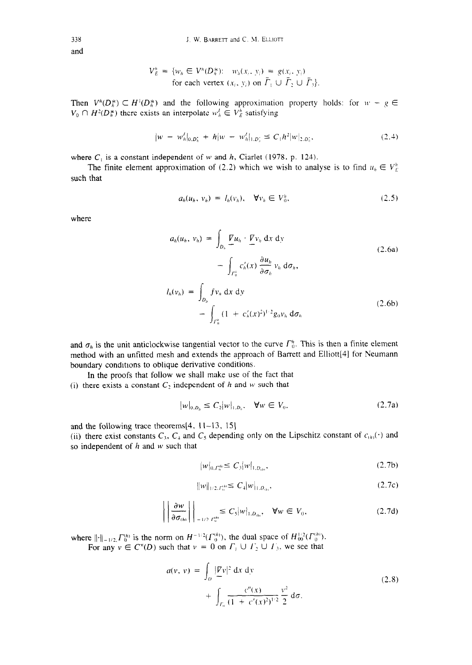*338*  and

$$
V_E^h = \{ w_h \in V^h(D_h^*) : w_h(x_i, y_i) = g(x_i, y_i)
$$
  
for each vertex  $(x_i, y_i)$  on  $\overline{\Gamma}_1 \cup \overline{\Gamma}_2 \cup \overline{\Gamma}_3 \}.$ 

Then  $V^h(D_h^*) \subset H^1(D_h^*)$  and the following approximation property holds: for  $w - g \in$  $V_0 \cap H^2(D_h^*)$  there exists an interpolate  $w_h^j \in V_E^h$  satisfying

$$
|w - w_h'|_{0,D_h^*} + h|w - w_h'|_{1,D_h^*} \le C_1 h^2 |w|_{2,D_h^*},
$$
\n(2.4)

where  $C_1$  is a constant independent of w and h, Ciarlet (1978. p. 124).

The finite element approximation of (2.2) which we wish to analyse is to find  $u_h \in V_E^h$ such that

$$
a_h(u_h, v_h) = l_h(v_h), \quad \forall v_h \in V_0^h, \tag{2.5}
$$

where

$$
a_h(u_h, v_h) = \int_{D_h} \underline{F} u_h \cdot \underline{F} v_h \, dx \, dy
$$
  

$$
- \int_{\Gamma_0^h} c'_h(x) \frac{\partial u_h}{\partial \sigma_h} v_h \, d\sigma_h,
$$
  

$$
l_h(v_h) = \int_{D_h} f v_h \, dx \, dy
$$
  

$$
- \int_{\Gamma_0^h} (1 + c'_h(x)^2)^{1/2} g_0 v_h \, d\sigma_h
$$
 (2.6b)

and  $\sigma_h$  is the unit anticlockwise tangential vector to the curve  $\Gamma_0^h$ . This is then a finite element method with an unfitted mesh and extends the approach of Barrett and Elliott[4] for Neumann boundary conditions to oblique derivative conditions.

In the proofs that follow we shall make use of the fact that (i) there exists a constant  $C_2$  independent of h and w such that

$$
|w|_{0,D_h} \le C_2 |w|_{1,D_h}, \quad \forall w \in V_0,
$$
\n(2.7a)

and the following trace theorems $[4, 11-13, 15]$ 

(ii) there exist constants  $C_3$ ,  $C_4$  and  $C_5$  depending only on the Lipschitz constant of  $c_{(h)}(\cdot)$  and so independent of  $h$  and  $w$  such that

$$
|w|_{0,\Gamma_0^{h}} \le C_3 |w|_{1,D_{(h)}},\tag{2.7b}
$$

$$
||w||_{1/2, \Gamma_0^{(h)}} \le C_4 |w|_{1, D_{(h)}}, \tag{2.7c}
$$

$$
\left| \left| \frac{\partial w}{\partial \sigma_{(h)}} \right| \right|_{-1/2. \Gamma_0^{\text{fin}}} \leq C_5 |w|_{1, D_{(h)}}, \quad \forall w \in V_0,
$$
\n(2.7d)

where  $\|\cdot\|_{-1/2}F_0^{(h)}$  is the norm on  $H^{-1/2}(F_0^{(m)})$ , the dual space of  $H_{00}^{1/2}(F_0^{(m)})$ . For any  $v \in C^{\infty}(D)$  such that  $v = 0$  on  $\Gamma_1 \cup \Gamma_2 \cup \Gamma_3$ , we see that

$$
a(v, v) = \int_{D} \frac{|\nabla v|^2 dx dy}{\int_{\Gamma_0} \frac{c''(x)}{(1 + c'(x)^2)^{1/2}} \frac{v^2}{2} d\sigma}.
$$
 (2.8)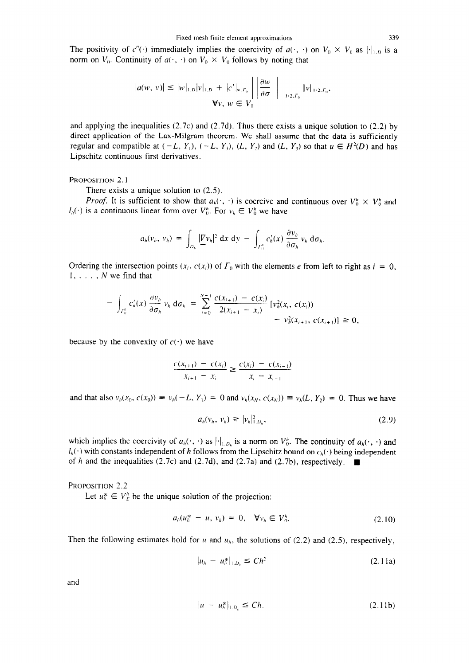The positivity of  $c''(\cdot)$  immediately implies the coercivity of  $a(\cdot, \cdot)$  on  $V_0 \times V_0$  as  $\|\cdot\|_{1,D}$  is a norm on  $V_0$ . Continuity of  $a(\cdot, \cdot)$  on  $V_0 \times V_0$  follows by noting that

$$
|a(w, v)| \leq |w|_{1,D}|v|_{1,D} + |c'|_{\infty, \Gamma_0} \left| \left| \frac{\partial w}{\partial \sigma} \right| \right|_{-1/2, \Gamma_0} \|v\|_{1/2, \Gamma_0},
$$
  

$$
\forall v, w \in V_0
$$

and applying the inequalities  $(2.7c)$  and  $(2.7d)$ . Thus there exists a unique solution to  $(2.2)$  by direct application of the Lax-Milgram theorem. We shall assume that the data is sufficiently regular and compatible at  $(-L, Y_1)$ ,  $(-L, Y_3)$ ,  $(L, Y_2)$  and  $(L, Y_3)$  so that  $u \in H^2(D)$  and has Lipschitz continuous first derivatives.

## PROPOSITION 2.1

There exists a unique solution to  $(2.5)$ .

*Proof.* It is sufficient to show that  $a_h(\cdot, \cdot)$  is coercive and continuous over  $V_0^h \times V_0^h$  and  $l_h(\cdot)$  is a continuous linear form over  $V_0^h$ . For  $v_h \in V_0^h$  we have

$$
a_h(v_h, v_h) = \int_{D_h} |\underline{V}v_h|^2 \, dx \, dy - \int_{\Gamma_0^h} c_h'(x) \, \frac{\partial v_h}{\partial \sigma_h} v_h \, d\sigma_h.
$$

Ordering the intersection points  $(x_i, c(x_i))$  of  $\Gamma_0$  with the elements e from left to right as  $i = 0$ ,  $1, \ldots, N$  we find that

$$
- \int_{\Gamma_0^h} c'_h(x) \frac{\partial v_h}{\partial \sigma_h} v_h d\sigma_h = \sum_{i=0}^{N-1} \frac{c(x_{i+1}) - c(x_i)}{2(x_{i+1} - x_i)} [v_h^2(x_i, c(x_i)) - v_h^2(x_{i+1}, c(x_{i+1})] \ge 0,
$$

because by the convexity of  $c(\cdot)$  we have

$$
\frac{c(x_{i+1}) - c(x_i)}{x_{i+1} - x_i} \ge \frac{c(x_i) - c(x_{i-1})}{x_i - x_{i-1}}
$$

and that also  $v_h(x_0, c(x_0)) = v_h(-L, Y_1) = 0$  and  $v_h(x_N, c(x_N)) = v_h(L, Y_2) = 0$ . Thus we have

$$
a_h(v_h, v_h) \geq |v_h|_{1, D_h}^2, \qquad (2.9)
$$

which implies the coercivity of  $a_h(\cdot, \cdot)$  as  $|\cdot|_{1,D_h}$  is a norm on  $V_0^h$ . The continuity of  $a_h(\cdot, \cdot)$  and  $I_h(\cdot)$  with constants independent of *h* follows from the Lipschitz bound on  $c_h(\cdot)$  being independent of h and the inequalities (2.7c) and (2.7d), and (2.7a) and (2.7b), respectively.  $\blacksquare$ 

PROPOSITION 2.2

Let  $u_h^* \in V_F^h$  be the unique solution of the projection:

$$
a_h(u_h^* - u, v_h) = 0, \quad \forall v_h \in V_0^h. \tag{2.10}
$$

Then the following estimates hold for u and  $u<sub>h</sub>$ , the solutions of (2.2) and (2.5), respectively,

$$
|u_h - u_h^*|_{1, D_h} \leq Ch^2 \tag{2.11a}
$$

and

$$
|u - u_h^*|_{1, D_h} \le Ch. \tag{2.11b}
$$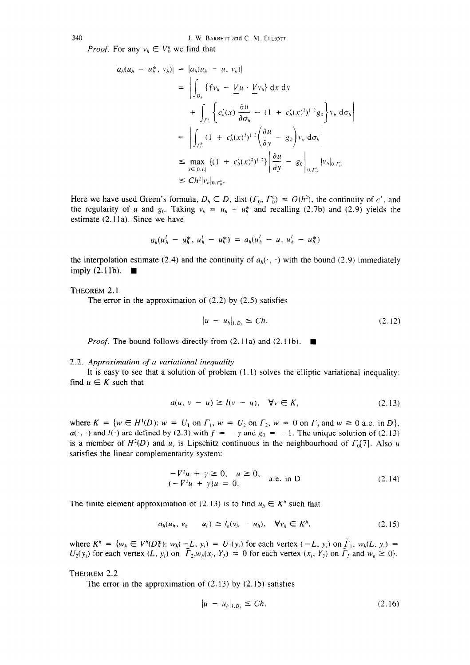*Proof.* For any  $v_h \in V_0^h$  we find that

$$
|a_h(u_h - u_h^*, v_h)| = |a_h(u_h - u, v_h)|
$$
  
\n
$$
= \left| \int_{D_h} \{f v_h - \underline{V} u \cdot \underline{V} v_h\} dx dy \right|
$$
  
\n
$$
+ \int_{\Gamma_0^h} \left\{ c'_h(x) \frac{\partial u}{\partial \sigma_h} - (1 + c'_h(x)^2)^{1/2} g_0 \right\} v_h d\sigma_h
$$
  
\n
$$
= \left| \int_{\Gamma_0^h} (1 + c'_h(x)^2)^{1/2} \left( \frac{\partial u}{\partial y} - g_0 \right) v_h d\sigma_h \right|
$$
  
\n
$$
\leq \max_{x \in [0, L]} \left\{ (1 + c'_h(x)^2)^{1/2} \right\} \left| \frac{\partial u}{\partial y} - g_0 \right|_{0, \Gamma_0^h} |v_h|_{0, \Gamma_0^h}
$$
  
\n
$$
\leq Ch^2 |v_h|_{0, \Gamma_0^h}.
$$

Here we have used Green's formula,  $D_h \subset D$ , dist  $(\Gamma_0, \Gamma_0^h) = O(h^2)$ , the continuity of c', and the regularity of u and  $g_0$ . Taking  $v_h = u_h - u_h^*$  and recalling (2.7b) and (2.9) yields the estimate (2.1 la). Since we have

$$
a_h(u_h^l - u_h^*, u_h^l - u_h^*) = a_h(u_h^l - u, u_h^l - u_h^*)
$$

the interpolation estimate (2.4) and the continuity of  $a_h(\cdot, \cdot)$  with the bound (2.9) immediately imply  $(2.11b)$ .

THEOREM 2.1

The error in the approximation of  $(2.2)$  by  $(2.5)$  satisfies

$$
|u - u_h|_{1, D_h} \leq Ch. \tag{2.12}
$$

*Proof.* The bound follows directly from  $(2.11a)$  and  $(2.11b)$ .

#### 2.2. *Approximation of a variational inequality*

find  $u \in K$  such that It is easy to see that a solution of problem  $(1.1)$  solves the elliptic variational inequality:

$$
a(u, v - u) \ge l(v - u), \quad \forall v \in K,
$$
\n
$$
(2.13)
$$

where  $K = \{w \in H^1(D): w = U_1 \text{ on } \Gamma_1, w = U_2 \text{ on } \Gamma_2, w = 0 \text{ on } \Gamma_3 \text{ and } w \ge 0 \text{ a.e. in } D\},\$  $u(r, \cdot)$  and  $l(\cdot)$  are defined by (2.3) with  $f = -\gamma$  and  $g_0 = -1$ . The unique solution of (2.13) is a member of  $H^2(D)$  and  $u_x$  is Lipschitz continuous in the neighbourhood of  $\Gamma_0[7]$ . Also u satisfies the linear complementarity system:

$$
-\nabla^2 u + \gamma \ge 0, \quad u \ge 0,
$$
  
\n
$$
(-\nabla^2 u + \gamma)u = 0,
$$
  
\n
$$
a.e. \text{ in } D
$$
\n(2.14)

The finite element approximation of (2.13) is to find  $u_h \in K<sup>h</sup>$  such that

$$
a_h(u_h, v_h - u_h) \ge l_h(v_h - u_h), \quad \forall v_h \in K^h, \tag{2.15}
$$

where  $K^n = \{w_h \in V^n(D^*_h): w_h(-L, y_i) = U_1(y_i)$  for each vertex  $(-L, y_i)$  on  $I_1, w_h(L, y_i) =$  $U_2(y_i)$  for each vertex  $(L, y_i)$  on  $T_2, w_h(x_i, Y_3) = 0$  for each vertex  $(x_i, Y_3)$  on  $T_3$  and  $w_h \ge 0$ .

THEOREM 2.2

The error in the approximation of  $(2.13)$  by  $(2.15)$  satisfies

$$
|u - u_h|_{1, D_h} \leq Ch. \tag{2.16}
$$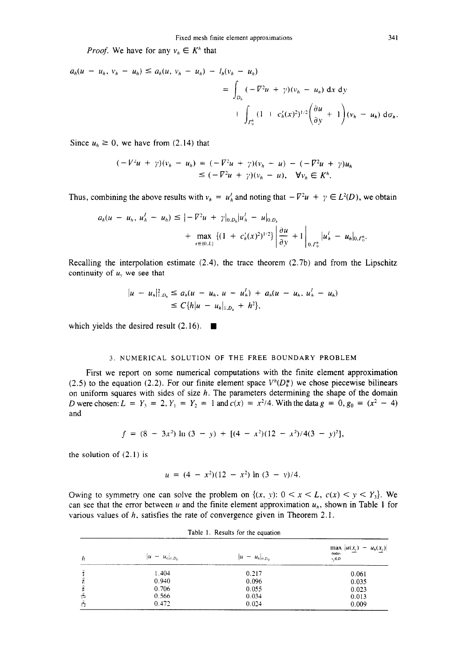*Proof.* We have for any  $v_h \in K^h$  that

$$
a_h(u - u_h, v_h - u_h) \le a_h(u, v_h - u_h) - l_h(v_h - u_h)
$$
  
=  $\int_{D_h} (-\nabla^2 u + \gamma)(v_h - u_h) dx dy$   
+  $\int_{\Gamma_0^h} (1 + c_h'(x)^2)^{1/2} \left(\frac{\partial u}{\partial y} + 1\right) (v_h - u_h) d\sigma_h.$ 

Since  $u_h \ge 0$ , we have from (2.14) that

$$
(-\nabla^2 u + \gamma)(v_h - u_h) = (-\nabla^2 u + \gamma)(v_h - u) - (-\nabla^2 u + \gamma)u_h
$$
  
\n
$$
\leq (-\nabla^2 u + \gamma)(v_h - u), \quad \forall v_h \in K^h.
$$

Thus, combining the above results with  $v_h = u_h^l$  and noting that  $-\nabla^2 u + \gamma \in L^2(D)$ , we obtain

$$
a_h(u - u_h, u'_h - u_h) \leq |-V^2u + \gamma|_{0,D_h}|u'_h - u|_{0,D_h}
$$
  
+ 
$$
\max_{x \in [0,L]} \left\{ (1 + c'_h(x)^2)^{1/2} \right\} \left| \frac{\partial u}{\partial y} + 1 \right|_{0,\Gamma_0^h} |u'_h - u_h|_{0,\Gamma_0^h}.
$$

Recalling the interpolation estimate (2.4), the trace theorem (2.7b) and from the Lipschitz continuity of  $u_y$  we see that

$$
|u - u_h|_{1, D_h}^2 \le a_h (u - u_h, u - u'_h) + a_h (u - u_h, u'_h - u_h)
$$
  
\n
$$
\le C\{h|u - u_h|_{1, D_h} + h^2\},
$$

which yields the desired result  $(2.16)$ .

## 3. NUMERICAL SOLUTION OF THE FREE BOUNDARY PROBLEM

First we report on some numerical computations with the finite element approximation (2.5) to the equation (2.2). For our finite element space  $V^h(D_h^*)$  we chose piecewise bilinears on uniform squares with sides of size  $h$ . The parameters determining the shape of the domain *D* were chosen:  $L = Y_3 = 2$ ,  $Y_1 = Y_2 = 1$  and  $c(x) = x^2/4$ . With the data  $g = 0$ ,  $g_0 = (x^2 - 4)$ and

$$
f = (8 - 3x2) \ln (3 - y) + [(4 - x2)(12 - x2)/4(3 - y)2],
$$

the solution of  $(2.1)$  is

$$
u = (4 - x^2)(12 - x^2) \ln (3 - y)/4.
$$

Owing to symmetry one can solve the problem on  $\{(x, y): 0 \le x \le L, c(x) \le y \le Y_3\}$ . We can see that the error between u and the finite element approximation  $u<sub>h</sub>$ , shown in Table 1 for various values of  $h$ , satisfies the rate of convergence given in Theorem 2.1.

| Table 1. Results for the equation |                       |                       |                                                    |  |  |  |
|-----------------------------------|-----------------------|-----------------------|----------------------------------------------------|--|--|--|
| $\boldsymbol{h}$                  | $ u - u_{k} _{1,D_k}$ | $ u - u_{h} _{0,D_h}$ | $\max  u(x_j) - u_h(x_j) $<br>nodes<br>$x_i \in D$ |  |  |  |
|                                   | 1.404                 | 0.217                 | 0.061                                              |  |  |  |
|                                   | 0.940                 | 0.096                 | 0.035                                              |  |  |  |
|                                   | 0.706                 | 0.055                 | 0.023                                              |  |  |  |
| Ťō                                | 0.566                 | 0.034                 | 0.013                                              |  |  |  |
| $\frac{1}{12}$                    | 0.472                 | 0.024                 | 0.009                                              |  |  |  |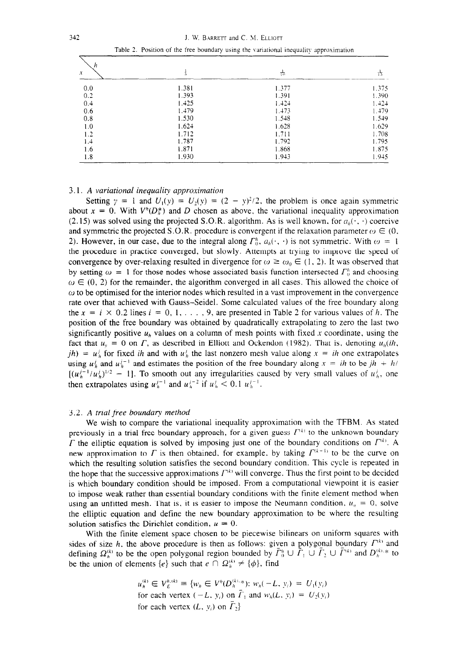| h   |       |       |       |  |
|-----|-------|-------|-------|--|
| x   |       | 靑     | 15    |  |
| 0.0 | 1.381 | 1.377 | 1.375 |  |
| 0.2 | 1.393 | 1.391 | 1.390 |  |
| 0.4 | 1.425 | 1.424 | 1.424 |  |
| 0.6 | 1.479 | 1.473 | 1.479 |  |
| 0.8 | 1.530 | 1.548 | 1.549 |  |
| 1.0 | 1.624 | 1.628 | 1.629 |  |
| 1.2 | 1.712 | 1.711 | 1.708 |  |
| 1.4 | 1.787 | 1.792 | 1.795 |  |
| 1.6 | 1.871 | 1.868 | 1.875 |  |
| 1.8 | 1.930 | 1.943 | 1.945 |  |

Table 2. Position of the free boundary using the variational inequality approximation

#### *3.1. A variational inequality approximation*

Setting  $\gamma = 1$  and  $U_1(y) = U_2(y) = (2 - y)^2/2$ , the problem is once again symmetric about  $x = 0$ . With  $V^h(D_s^*)$  and *D* chosen as above, the variational inequality approximation (2.15) was solved using the projected S.O.R. algorithm. As is well known, for  $a_h(\cdot, \cdot)$  coercive and symmetric the projected S.O.R. procedure is convergent if the relaxation parameter  $\omega \in (0, 1)$ 2). However, in our case, due to the integral along  $\Gamma_0^h$ ,  $a_h(\cdot, \cdot)$  is not symmetric. With  $\omega = 1$ the procedure in practice converged, but slowly. Attempts at trying to improve the speed of convergence by over-relaxing resulted in divergence for  $\omega \ge \omega_0 \in (1, 2)$ . It was observed that by setting  $\omega = 1$  for those nodes whose associated basis function intersected  $\Gamma_0^h$  and choosing  $\omega \in (0, 2)$  for the remainder, the algorithm converged in all cases. This allowed the choice of  $\omega$  to be optimised for the interior nodes which resulted in a vast improvement in the convergence rate over that achieved with Gauss-Seidel. Some calculated values of the free boundary along the  $x = i \times 0.2$  lines  $i = 0, 1, \ldots, 9$ , are presented in Table 2 for various values of h. The position of the free boundary was obtained by quadratically extrapolating to zero the last two significantly positive  $u<sub>h</sub>$  values on a column of mesh points with fixed x coordinate, using the fact that  $u_y = 0$  on  $\Gamma$ , as described in Elliott and Ockendon (1982). That is, denoting  $u_h(ih, \Gamma)$ *jh)* =  $u_h^j$  for fixed *ih* and with  $u_h^j$  the last nonzero mesh value along  $x = ih$  one extrapolates using  $u_h^j$  and  $u_h^{j-1}$  and estimates the position of the free boundary along  $x = ih$  to be  $jh + h/$  $[(u_h^{j-1}/u_h^j)^{1/2} - 1]$ . To smooth out any irregularities caused by very small values of  $u_h^j$ , one then extrapolates using  $u_h^{j-1}$  and  $u_h^{j-2}$  if  $u_h^{j} < 0.1$   $u_h^{j-1}$ .

#### 3.2. *A trial free boundary method*

We wish to compare the variational inequality approximation with the TFBM. As stated previously in a trial free boundary approach, for a given guess  $\Gamma^{(k)}$  to the unknown boundary  $\Gamma$  the elliptic equation is solved by imposing just one of the boundary conditions on  $\Gamma^{(k)}$ . A new approximation to  $\Gamma$  is then obtained, for example, by taking  $\Gamma^{(k-1)}$  to be the curve on which the resulting solution satisfies the second boundary condition. This cycle is repeated in the hope that the successive approximations  $\Gamma^{(k)}$  will converge. Thus the first point to be decided is which boundary condition should be imposed. From a computational viewpoint it is easier to impose weak rather than essential boundary conditions with the finite element method when using an unfitted mesh. That is, it is easier to impose the Neumann condition,  $u_n = 0$ , solve the elliptic equation and define the new boundary approximation to be where the resulting solution satisfies the Dirichlet condition,  $u = 0$ .

With the finite element space chosen to be piecewise bilinears on uniform squares with sides of size *h*, the above procedure is then as follows: given a polygonal boundary  $\Gamma^{(k)}$  and defining  $\Omega_h^{(k)}$  to be the open polygonal region bounded by  $\overline{\Gamma}_0^h \cup \overline{\Gamma}_1 \cup \overline{\Gamma}_2 \cup \overline{\Gamma}_1^{(k)}$  and  $D_h^{(k)}$  to be the union of elements  $\{e\}$  such that  $e \cap \Omega_h^{(k)} \neq \{\phi\}$ , find

$$
u_h^{(k)} \in V_E^{h,(k)} \equiv \{w_h \in V^h(D_h^{(k),*}); w_h(-L, y_i) = U_1(y_i)
$$
  
for each vertex  $(-L, y_i)$  on  $\overline{L}_1$  and  $w_h(L, y_i) = U_2(y_i)$   
for each vertex  $(L, y_i)$  on  $\overline{L}_2\}$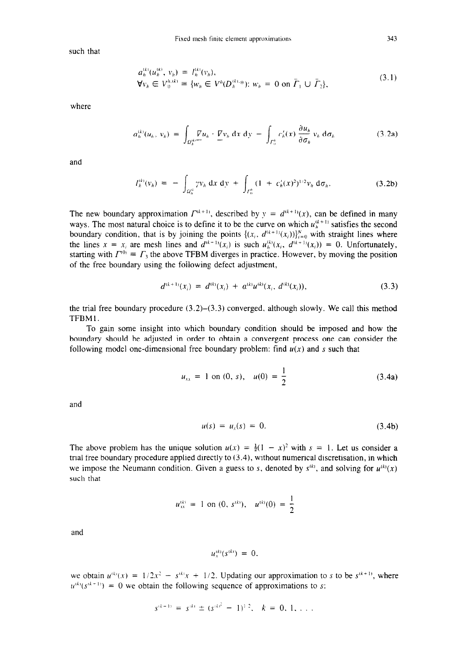such that

$$
a_h^{(k)}(u_h^{(k)}, v_h) = I_h^{(k)}(v_h),
$$
  
\n
$$
\forall v_h \in V_0^{h,(k)} \equiv \{w_h \in V^h(D_h^{(k),*}); w_h = 0 \text{ on } \tilde{\Gamma}_1 \cup \tilde{\Gamma}_2\},
$$
\n(3.1)

where

$$
a_h^{(k)}(u_h, v_h) = \int_{\Omega_h^{(k)}} \nabla u_h \cdot \nabla v_h \, dx \, dy - \int_{\Gamma_h^h} c_h'(x) \, \frac{\partial u_h}{\partial \sigma_h} v_h \, d\sigma_h \tag{3.2a}
$$

and

$$
I_h^{(k)}(v_h) = - \int_{\Omega_h^{ik}} \gamma v_h \, dx \, dy + \int_{\Gamma_h^h} (1 + c_h'(x)^2)^{1/2} v_h \, d\sigma_h.
$$
 (3.2b)

The new boundary approximation  $\Gamma^{(k+1)}$ , described by  $y = d^{(k+1)}(x)$ , can be defined in many ways. The most natural choice is to define it to be the curve on which  $u_h^{(k+1)}$  satisfies the second boundary condition, that is by joining the points  $\{(x_i, d^{(k+1)}(x_i))\}_{i=0}^N$  with straight lines where the lines  $x = x_i$  are mesh lines and  $d^{(k+1)}(x_i)$  is such  $u_h^{(k)}(x_i, d^{(k+1)}(x_i)) = 0$ . Unfortunately, starting with  $\Gamma^{(0)} \equiv \Gamma_3$ , the above TFBM diverges in practice. However, by moving the position of the free boundary using the foilowing defect adjustment,

$$
d^{(k+1)}(x_i) = d^{(k)}(x_i) + a^{(k)}u^{(k)}(x_i, d^{(k)}(x_i)), \qquad (3.3)
$$

the trial free boundary procedure  $(3.2)$ – $(3.3)$  converged, although slowly. We call this method TFBM 1.

To gain some insight into which boundary condition should be imposed and how the boundary should be adjusted in order to obtain a convergent process one can consider the following model one-dimensional free boundary problem: find  $u(x)$  and s such that

$$
u_{xx} = 1 \text{ on } (0, s), \quad u(0) = \frac{1}{2} \tag{3.4a}
$$

and

$$
u(s) = u_x(s) = 0. \t\t(3.4b)
$$

The above problem has the unique solution  $u(x) = \frac{1}{2}(1 - x)^2$  with  $s = 1$ . Let us consider a trial free boundary procedure applied directly to  $(3.4)$ , without numerical discretisation, in which we impose the Neumann condition. Given a guess to s, denoted by  $s^{(k)}$ , and solving for  $u^{(k)}(x)$ such that

$$
u_{xx}^{(k)} = 1
$$
 on  $(0, s^{(k)})$ ,  $u^{(k)}(0) = \frac{1}{2}$ 

and

$$
u_x^{(k)}(s^{(k)}) = 0.
$$

we obtain  $u^{(k)}(x) = 1/2x^2 - s^{(k)}x + 1/2$ . Updating our approximation to s to be  $s^{(k+1)}$ , where  $u^{(k)}(s^{(k+1)}) = 0$  we obtain the following sequence of approximations to s:

$$
s^{(k+1)} = s^{(k)} \pm (s^{(k)^2} - 1)^{1/2}, \quad k = 0, 1, ...
$$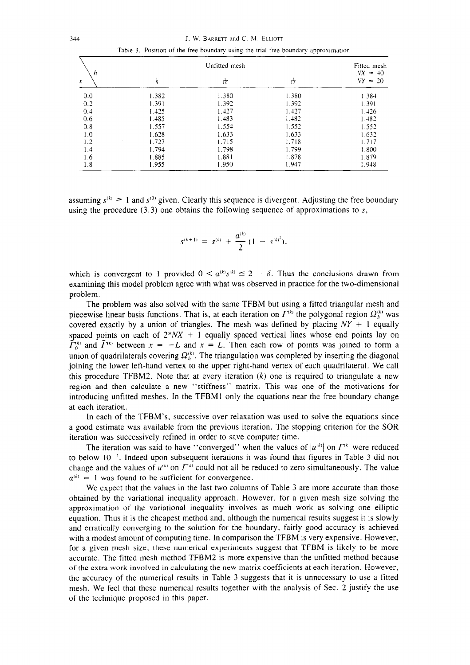344 J. W. BARRETT and C. M. ELLIOTT

|  |  |  |  | Table 3. Position of the free boundary using the trial free boundary approximation |
|--|--|--|--|------------------------------------------------------------------------------------|
|  |  |  |  |                                                                                    |

| h                |               | Fitted mesh<br>$NX =$<br>$+0$ |       |           |
|------------------|---------------|-------------------------------|-------|-----------|
| ${\mathfrak{X}}$ | $\frac{1}{5}$ | 靑                             | 喜     | $NY = 20$ |
| 0.0              | 1.382         | 1.380                         | 1.380 | 1.384     |
| 0.2              | 1.391         | 1.392                         | 1.392 | 1.391     |
| 0.4              | 1.425         | 1.427                         | 1.427 | 1.426     |
| 0.6              | 1.485         | 1.483                         | 1.482 | 1.482     |
| 0.8              | 1.557         | 1.554                         | 1.552 | 1.552     |
| 1.0              | 1.628         | 1.633                         | 1.633 | 1.632     |
| 1.2              | 1.727         | 1.715                         | 1.718 | 1.717     |
| 1.4              | 1.794         | 1.798                         | 1.799 | 1.800     |
| 1.6              | 1.885         | 1.881                         | 1.878 | 1.879     |
| 1.8              | 1.955         | 1.950                         | 1.947 | 1.948     |

assuming  $s^{(k)} \ge 1$  and  $s^{(0)}$  given. Clearly this sequence is divergent. Adjusting the free boundary using the procedure  $(3.3)$  one obtains the following sequence of approximations to s,

$$
s^{(k+1)} = s^{(k)} + \frac{a^{(k)}}{2} (1 - s^{(k)^2}).
$$

which is convergent to 1 provided  $0 < a^{(k)}s^{(k)} \le 2 - \delta$ . Thus the conclusions drawn from examining this model problem agree with what was observed in practice for the two-dimensional problem.

The problem was also solved with the same TFBM but using a fitted triangular mesh and piecewise linear basis functions. That is, at each iteration on  $\Gamma^{(k)}$  the polygonal region  $\Omega_h^{(k)}$  was covered exactly by a union of triangles. The mesh was defined by placing  $NY + 1$  equally spaced points on each of  $2*NX + 1$  equally spaced vertical lines whose end points lay on  $\tilde{\Gamma}_0^{(k)}$  and  $\tilde{\Gamma}^{(k)}$  between  $x = -L$  and  $x = L$ . Then each row of points was joined to form a union of quadrilaterals covering  $\Omega_h^{(k)}$ . The triangulation was completed by inserting the diagonal joining the lower left-hand vertex to the upper right-hand vertex of each quadrilateral. We call this procedure TFBM2. Note that at every iteration  $(k)$  one is required to triangulate a new region and then calculate a new "stiffness" matrix. This was one of the motivations for introducing unfitted meshes. In the TFBMl only the equations near the free boundary change at each iteration.

In each of the TFBM's, successive over relaxation was used to solve the equations since a good estimate was available from the previous iteration. The stopping criterion for the SOR iteration was successively refined in order to save computer time.

The iteration was said to have "converged" when the values of  $|u^{(k)}|$  on  $\Gamma^{(k)}$  were reduced to below  $10^{-4}$ . Indeed upon subsequent iterations it was found that figures in Table 3 did not change and the values of  $u^{(k)}$  on  $\Gamma^{(k)}$  could not all be reduced to zero simultaneously. The value  $a^{(k)} = 1$  was found to be sufficient for convergence.

We expect that the values in the last two columns of Table 3 are more accurate than those obtained by the variational inequality approach. However. for a given mesh size solving the approximation of the variational inequality involves as much work as solving one elliptic equation. Thus it is the cheapest method and. although the numerical results suggest it is slowly and erratically converging to the solution for the boundary. fairly good accuracy is achieved with a modest amount of computing time. In comparison the TFBM is very expensive. However, for a given mesh size, these numerical experiments suggest that TFBM is likely to be more accurate. The fitted mesh method TFBM2 is more expensive than the unfitted method because of the extra work involved in calculating the new matrix coefficients at each iteration. However, the accuracy of the numerical results in Table 3 suggests that it is unnecessary to use a fitted mesh. We feel that these numerical results together with the analysis of Sec. 2 justify the use of the technique proposed in this paper.